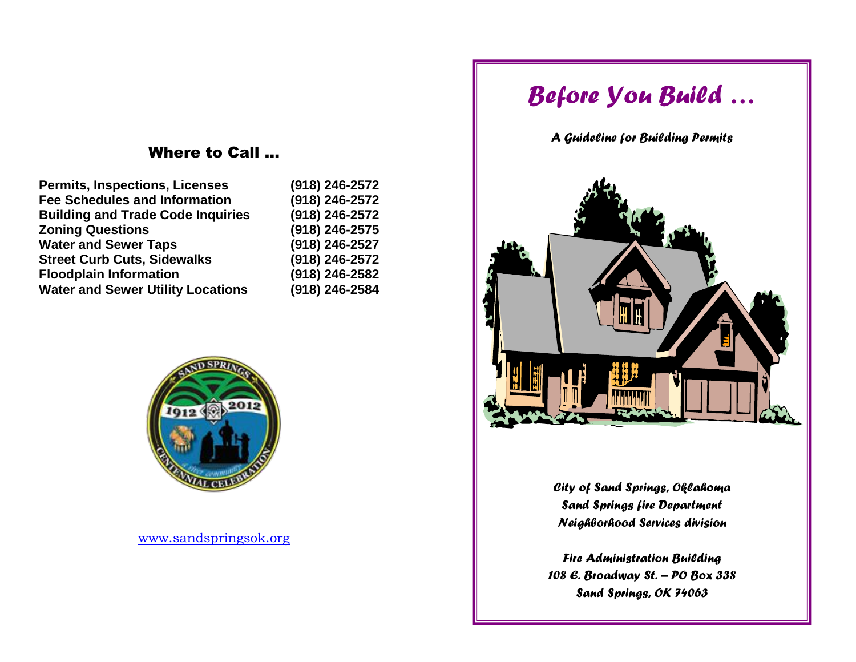# Where to Call …

| <b>Permits, Inspections, Licenses</b><br><b>Fee Schedules and Information</b><br><b>Building and Trade Code Inquiries</b><br><b>Zoning Questions</b><br><b>Water and Sewer Taps</b><br><b>Street Curb Cuts, Sidewalks</b> | (918) 246-2572                                                                         |                                          |                |
|---------------------------------------------------------------------------------------------------------------------------------------------------------------------------------------------------------------------------|----------------------------------------------------------------------------------------|------------------------------------------|----------------|
|                                                                                                                                                                                                                           | (918) 246-2572<br>(918) 246-2572<br>(918) 246-2575<br>(918) 246-2527<br>(918) 246-2572 |                                          |                |
|                                                                                                                                                                                                                           |                                                                                        | <b>Floodplain Information</b>            | (918) 246-2582 |
|                                                                                                                                                                                                                           |                                                                                        | <b>Water and Sewer Utility Locations</b> | (918) 246-2584 |
|                                                                                                                                                                                                                           |                                                                                        |                                          |                |



[www.sandspringsok.org](http://www.sandspringsok.org/)

# *Before You Build …*

# *A Guideline for Building Permits*



*City of Sand Springs, Oklahoma Sand Springs fire Department Neighborhood Services division*

*Fire Administration Building 108 E. Broadway St. – PO Box 338 Sand Springs, OK 74063*